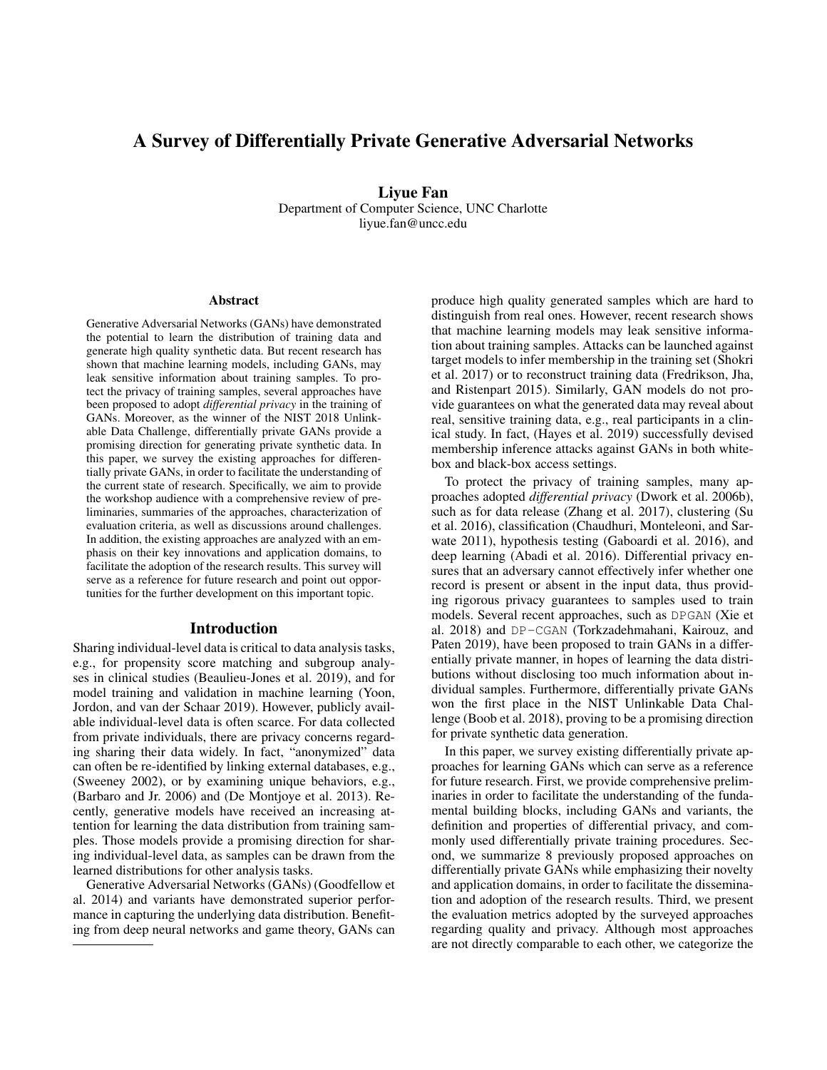# A Survey of Differentially Private Generative Adversarial Networks

Liyue Fan Department of Computer Science, UNC Charlotte liyue.fan@uncc.edu

#### Abstract

Generative Adversarial Networks (GANs) have demonstrated the potential to learn the distribution of training data and generate high quality synthetic data. But recent research has shown that machine learning models, including GANs, may leak sensitive information about training samples. To protect the privacy of training samples, several approaches have been proposed to adopt *differential privacy* in the training of GANs. Moreover, as the winner of the NIST 2018 Unlinkable Data Challenge, differentially private GANs provide a promising direction for generating private synthetic data. In this paper, we survey the existing approaches for differentially private GANs, in order to facilitate the understanding of the current state of research. Specifically, we aim to provide the workshop audience with a comprehensive review of preliminaries, summaries of the approaches, characterization of evaluation criteria, as well as discussions around challenges. In addition, the existing approaches are analyzed with an emphasis on their key innovations and application domains, to facilitate the adoption of the research results. This survey will serve as a reference for future research and point out opportunities for the further development on this important topic.

#### Introduction

Sharing individual-level data is critical to data analysis tasks, e.g., for propensity score matching and subgroup analyses in clinical studies (Beaulieu-Jones et al. 2019), and for model training and validation in machine learning (Yoon, Jordon, and van der Schaar 2019). However, publicly available individual-level data is often scarce. For data collected from private individuals, there are privacy concerns regarding sharing their data widely. In fact, "anonymized" data can often be re-identified by linking external databases, e.g., (Sweeney 2002), or by examining unique behaviors, e.g., (Barbaro and Jr. 2006) and (De Montjoye et al. 2013). Recently, generative models have received an increasing attention for learning the data distribution from training samples. Those models provide a promising direction for sharing individual-level data, as samples can be drawn from the learned distributions for other analysis tasks.

Generative Adversarial Networks (GANs) (Goodfellow et al. 2014) and variants have demonstrated superior performance in capturing the underlying data distribution. Benefiting from deep neural networks and game theory, GANs can

produce high quality generated samples which are hard to distinguish from real ones. However, recent research shows that machine learning models may leak sensitive information about training samples. Attacks can be launched against target models to infer membership in the training set (Shokri et al. 2017) or to reconstruct training data (Fredrikson, Jha, and Ristenpart 2015). Similarly, GAN models do not provide guarantees on what the generated data may reveal about real, sensitive training data, e.g., real participants in a clinical study. In fact, (Hayes et al. 2019) successfully devised membership inference attacks against GANs in both whitebox and black-box access settings.

To protect the privacy of training samples, many approaches adopted *differential privacy* (Dwork et al. 2006b), such as for data release (Zhang et al. 2017), clustering (Su et al. 2016), classification (Chaudhuri, Monteleoni, and Sarwate 2011), hypothesis testing (Gaboardi et al. 2016), and deep learning (Abadi et al. 2016). Differential privacy ensures that an adversary cannot effectively infer whether one record is present or absent in the input data, thus providing rigorous privacy guarantees to samples used to train models. Several recent approaches, such as DPGAN (Xie et al. 2018) and DP-CGAN (Torkzadehmahani, Kairouz, and Paten 2019), have been proposed to train GANs in a differentially private manner, in hopes of learning the data distributions without disclosing too much information about individual samples. Furthermore, differentially private GANs won the first place in the NIST Unlinkable Data Challenge (Boob et al. 2018), proving to be a promising direction for private synthetic data generation.

In this paper, we survey existing differentially private approaches for learning GANs which can serve as a reference for future research. First, we provide comprehensive preliminaries in order to facilitate the understanding of the fundamental building blocks, including GANs and variants, the definition and properties of differential privacy, and commonly used differentially private training procedures. Second, we summarize 8 previously proposed approaches on differentially private GANs while emphasizing their novelty and application domains, in order to facilitate the dissemination and adoption of the research results. Third, we present the evaluation metrics adopted by the surveyed approaches regarding quality and privacy. Although most approaches are not directly comparable to each other, we categorize the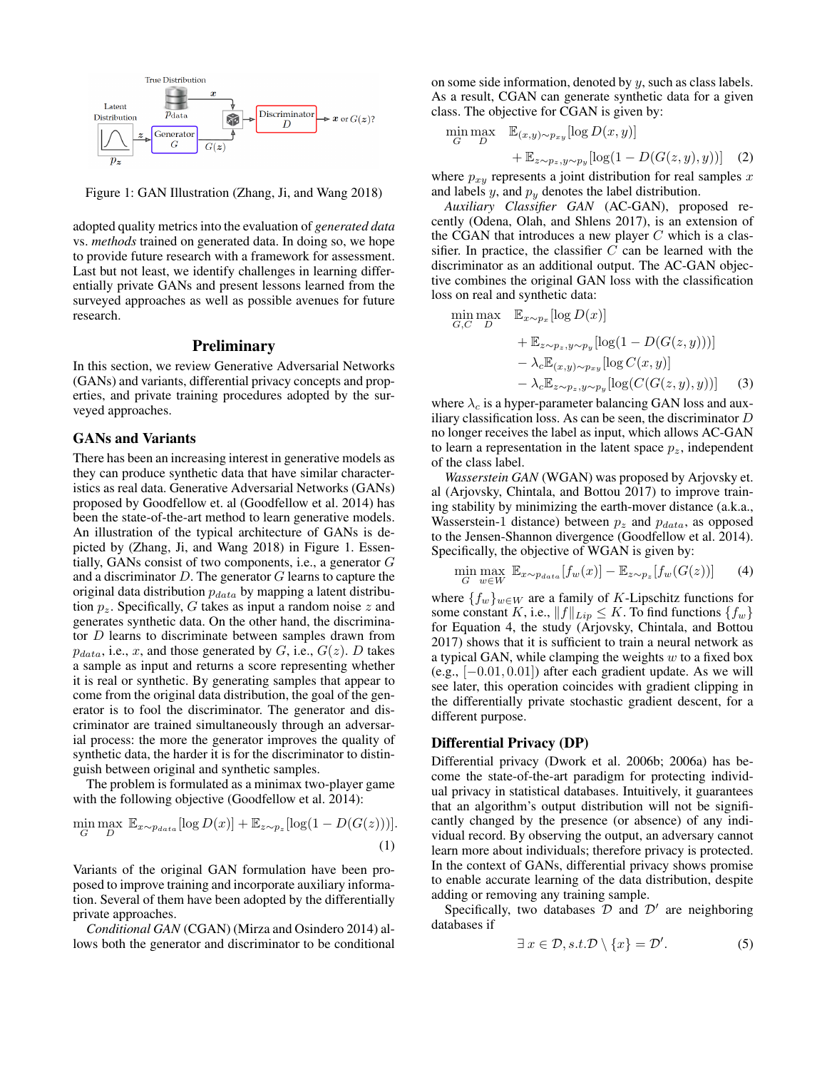

Figure 1: GAN Illustration (Zhang, Ji, and Wang 2018)

adopted quality metrics into the evaluation of *generated data* vs. *methods* trained on generated data. In doing so, we hope to provide future research with a framework for assessment. Last but not least, we identify challenges in learning differentially private GANs and present lessons learned from the surveyed approaches as well as possible avenues for future research.

#### **Preliminary**

In this section, we review Generative Adversarial Networks (GANs) and variants, differential privacy concepts and properties, and private training procedures adopted by the surveyed approaches.

#### GANs and Variants

There has been an increasing interest in generative models as they can produce synthetic data that have similar characteristics as real data. Generative Adversarial Networks (GANs) proposed by Goodfellow et. al (Goodfellow et al. 2014) has been the state-of-the-art method to learn generative models. An illustration of the typical architecture of GANs is depicted by (Zhang, Ji, and Wang 2018) in Figure 1. Essentially, GANs consist of two components, i.e., a generator G and a discriminator  $D$ . The generator  $G$  learns to capture the original data distribution  $p_{data}$  by mapping a latent distribution  $p_z$ . Specifically, G takes as input a random noise z and generates synthetic data. On the other hand, the discriminator D learns to discriminate between samples drawn from  $p_{data}$ , i.e., x, and those generated by G, i.e.,  $G(z)$ . D takes a sample as input and returns a score representing whether it is real or synthetic. By generating samples that appear to come from the original data distribution, the goal of the generator is to fool the discriminator. The generator and discriminator are trained simultaneously through an adversarial process: the more the generator improves the quality of synthetic data, the harder it is for the discriminator to distinguish between original and synthetic samples.

The problem is formulated as a minimax two-player game with the following objective (Goodfellow et al. 2014):

$$
\min_{G} \max_{D} \mathbb{E}_{x \sim p_{data}}[\log D(x)] + \mathbb{E}_{z \sim p_z}[\log(1 - D(G(z)))].
$$
\n(1)

Variants of the original GAN formulation have been proposed to improve training and incorporate auxiliary information. Several of them have been adopted by the differentially private approaches.

*Conditional GAN* (CGAN) (Mirza and Osindero 2014) allows both the generator and discriminator to be conditional on some side information, denoted by  $y$ , such as class labels. As a result, CGAN can generate synthetic data for a given class. The objective for CGAN is given by:

$$
\min_{G} \max_{D} \quad \mathbb{E}_{(x,y)\sim p_{xy}}[\log D(x,y)] \n+ \mathbb{E}_{z\sim p_z, y\sim p_y}[\log(1 - D(G(z,y),y))]
$$
\n(2)

where  $p_{xy}$  represents a joint distribution for real samples x and labels  $y$ , and  $p_y$  denotes the label distribution.

*Auxiliary Classifier GAN* (AC-GAN), proposed recently (Odena, Olah, and Shlens 2017), is an extension of the CGAN that introduces a new player  $C$  which is a classifier. In practice, the classifier  $C$  can be learned with the discriminator as an additional output. The AC-GAN objective combines the original GAN loss with the classification loss on real and synthetic data:

$$
\min_{G,C} \max_{D} \mathbb{E}_{x \sim p_x} [\log D(x)] \n+ \mathbb{E}_{z \sim p_z, y \sim p_y} [\log(1 - D(G(z, y)))] \n- \lambda_c \mathbb{E}_{(x,y) \sim p_{xy}} [\log C(x, y)] \n- \lambda_c \mathbb{E}_{z \sim p_z, y \sim p_y} [\log (C(G(z, y), y))]
$$
\n(3)

where  $\lambda_c$  is a hyper-parameter balancing GAN loss and auxiliary classification loss. As can be seen, the discriminator  $D$ no longer receives the label as input, which allows AC-GAN to learn a representation in the latent space  $p_z$ , independent of the class label.

*Wasserstein GAN* (WGAN) was proposed by Arjovsky et. al (Arjovsky, Chintala, and Bottou 2017) to improve training stability by minimizing the earth-mover distance (a.k.a., Wasserstein-1 distance) between  $p_z$  and  $p_{data}$ , as opposed to the Jensen-Shannon divergence (Goodfellow et al. 2014). Specifically, the objective of WGAN is given by:

$$
\min_{G} \max_{w \in W} \mathbb{E}_{x \sim p_{data}}[f_w(x)] - \mathbb{E}_{z \sim p_z}[f_w(G(z))]
$$
 (4)

where  $\{f_w\}_{w\in W}$  are a family of K-Lipschitz functions for some constant K, i.e.,  $||f||_{Lip} \leq K$ . To find functions  $\{f_w\}$ for Equation 4, the study (Arjovsky, Chintala, and Bottou 2017) shows that it is sufficient to train a neural network as a typical GAN, while clamping the weights  $w$  to a fixed box (e.g.,  $[-0.01, 0.01]$ ) after each gradient update. As we will see later, this operation coincides with gradient clipping in the differentially private stochastic gradient descent, for a different purpose.

## Differential Privacy (DP)

Differential privacy (Dwork et al. 2006b; 2006a) has become the state-of-the-art paradigm for protecting individual privacy in statistical databases. Intuitively, it guarantees that an algorithm's output distribution will not be significantly changed by the presence (or absence) of any individual record. By observing the output, an adversary cannot learn more about individuals; therefore privacy is protected. In the context of GANs, differential privacy shows promise to enable accurate learning of the data distribution, despite adding or removing any training sample.

Specifically, two databases  $\mathcal D$  and  $\mathcal D'$  are neighboring databases if

$$
\exists x \in \mathcal{D}, s.t. \mathcal{D} \setminus \{x\} = \mathcal{D}'. \tag{5}
$$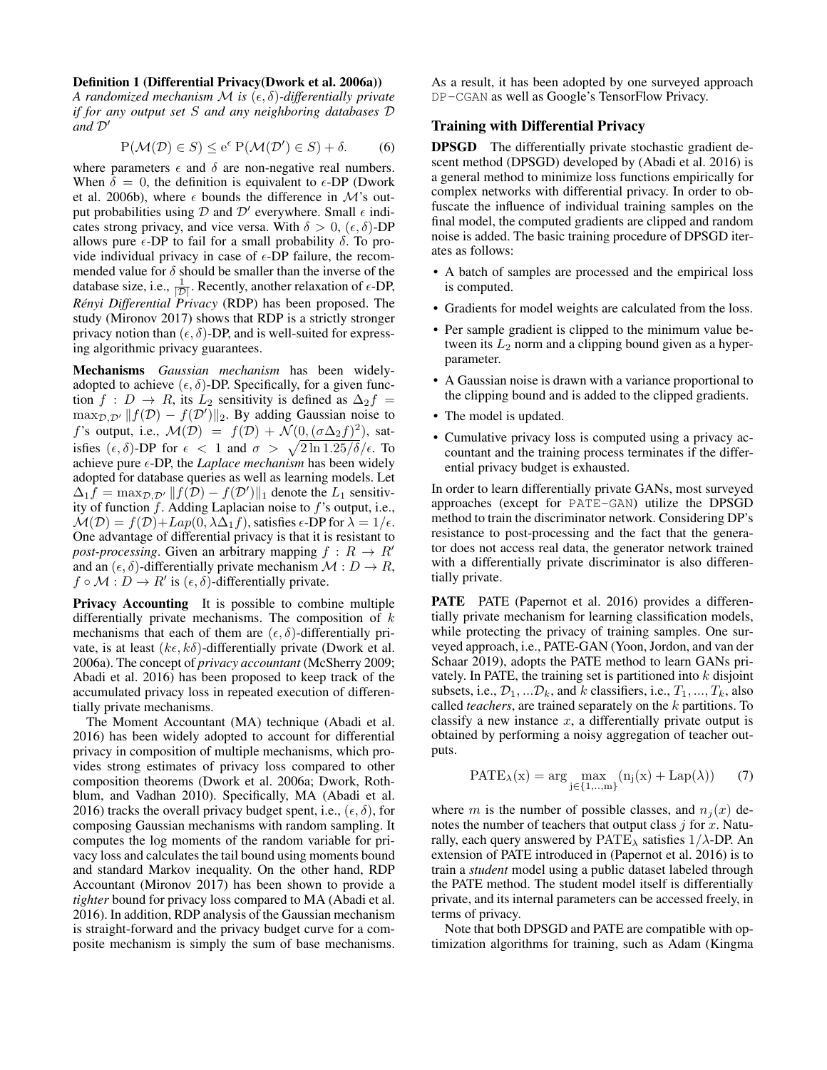#### Definition 1 (Differential Privacy(Dwork et al. 2006a))

*A randomized mechanism M is*  $(\epsilon, \delta)$ -differentially private *if for any output set* S *and any neighboring databases* D  $and \mathcal{D}'$ 

$$
P(\mathcal{M}(\mathcal{D}) \in S) \le e^{\epsilon} P(\mathcal{M}(\mathcal{D}') \in S) + \delta. \tag{6}
$$

where parameters  $\epsilon$  and  $\delta$  are non-negative real numbers. When  $\delta = 0$ , the definition is equivalent to  $\epsilon$ -DP (Dwork et al. 2006b), where  $\epsilon$  bounds the difference in M's output probabilities using  $D$  and  $D'$  everywhere. Small  $\epsilon$  indicates strong privacy, and vice versa. With  $\delta > 0$ ,  $(\epsilon, \delta)$ -DP allows pure  $\epsilon$ -DP to fail for a small probability  $\delta$ . To provide individual privacy in case of  $\epsilon$ -DP failure, the recommended value for  $\delta$  should be smaller than the inverse of the database size, i.e.,  $\frac{1}{|D|}$ . Recently, another relaxation of  $\epsilon$ -DP, *Rényi Differential Privacy* (RDP) has been proposed. The study (Mironov 2017) shows that RDP is a strictly stronger privacy notion than  $(\epsilon, \delta)$ -DP, and is well-suited for expressing algorithmic privacy guarantees.

Mechanisms *Gaussian mechanism* has been widelyadopted to achieve  $(\epsilon, \delta)$ -DP. Specifically, for a given function  $f : D \to R$ , its  $L_2$  sensitivity is defined as  $\Delta_2 f =$  $\max_{\mathcal{D}, \mathcal{D}'} || f(\mathcal{D}) - f(\mathcal{D}') ||_2$ . By adding Gaussian noise to f's output, i.e.,  $\mathcal{M}(\mathcal{D}) = f(\mathcal{D}) + \mathcal{N}(0, (\sigma \Delta_2 f)^2)$ , satisfies  $(\epsilon, \delta)$ -DP for  $\epsilon < 1$  and  $\sigma > \sqrt{2 \ln 1.25/\delta}/\epsilon$ . To achieve pure  $\epsilon$ -DP, the *Laplace mechanism* has been widely adopted for database queries as well as learning models. Let  $\Delta_1 \hat{f} = \max_{\mathcal{D}, \mathcal{D}'} ||f(\hat{\mathcal{D}}) - f(\mathcal{D}')||_1$  denote the  $L_1$  sensitivity of function  $f$ . Adding Laplacian noise to  $f$ 's output, i.e.,  $\mathcal{M}(\mathcal{D}) = f(\mathcal{D}) + Lap(0, \lambda \Delta_1 f)$ , satisfies  $\epsilon$ -DP for  $\lambda = 1/\epsilon$ . One advantage of differential privacy is that it is resistant to *post-processing*. Given an arbitrary mapping  $f : R \rightarrow R'$ and an  $(\epsilon, \delta)$ -differentially private mechanism  $\mathcal{M}: D \to R$ ,  $f \circ M : D \to R'$  is  $(\epsilon, \delta)$ -differentially private.

Privacy Accounting It is possible to combine multiple differentially private mechanisms. The composition of  $k$ mechanisms that each of them are  $(\epsilon, \delta)$ -differentially private, is at least  $(k\epsilon, k\delta)$ -differentially private (Dwork et al. 2006a). The concept of *privacy accountant* (McSherry 2009; Abadi et al. 2016) has been proposed to keep track of the accumulated privacy loss in repeated execution of differentially private mechanisms.

The Moment Accountant (MA) technique (Abadi et al. 2016) has been widely adopted to account for differential privacy in composition of multiple mechanisms, which provides strong estimates of privacy loss compared to other composition theorems (Dwork et al. 2006a; Dwork, Rothblum, and Vadhan 2010). Specifically, MA (Abadi et al. 2016) tracks the overall privacy budget spent, i.e.,  $(\epsilon, \delta)$ , for composing Gaussian mechanisms with random sampling. It computes the log moments of the random variable for privacy loss and calculates the tail bound using moments bound and standard Markov inequality. On the other hand, RDP Accountant (Mironov 2017) has been shown to provide a *tighter* bound for privacy loss compared to MA (Abadi et al. 2016). In addition, RDP analysis of the Gaussian mechanism is straight-forward and the privacy budget curve for a composite mechanism is simply the sum of base mechanisms.

As a result, it has been adopted by one surveyed approach DP-CGAN as well as Google's TensorFlow Privacy.

#### Training with Differential Privacy

DPSGD The differentially private stochastic gradient descent method (DPSGD) developed by (Abadi et al. 2016) is a general method to minimize loss functions empirically for complex networks with differential privacy. In order to obfuscate the influence of individual training samples on the final model, the computed gradients are clipped and random noise is added. The basic training procedure of DPSGD iterates as follows:

- A batch of samples are processed and the empirical loss is computed.
- Gradients for model weights are calculated from the loss.
- Per sample gradient is clipped to the minimum value between its  $L_2$  norm and a clipping bound given as a hyperparameter.
- A Gaussian noise is drawn with a variance proportional to the clipping bound and is added to the clipped gradients.
- The model is updated.
- Cumulative privacy loss is computed using a privacy accountant and the training process terminates if the differential privacy budget is exhausted.

In order to learn differentially private GANs, most surveyed approaches (except for PATE-GAN) utilize the DPSGD method to train the discriminator network. Considering DP's resistance to post-processing and the fact that the generator does not access real data, the generator network trained with a differentially private discriminator is also differentially private.

PATE PATE (Papernot et al. 2016) provides a differentially private mechanism for learning classification models, while protecting the privacy of training samples. One surveyed approach, i.e., PATE-GAN (Yoon, Jordon, and van der Schaar 2019), adopts the PATE method to learn GANs privately. In PATE, the training set is partitioned into  $k$  disjoint subsets, i.e.,  $\mathcal{D}_1, \dots, \mathcal{D}_k$ , and k classifiers, i.e.,  $T_1, \dots, T_k$ , also called *teachers*, are trained separately on the k partitions. To classify a new instance  $x$ , a differentially private output is obtained by performing a noisy aggregation of teacher outputs.

$$
\mathrm{PATE}_{\lambda}(x) = \arg\max_{j\in\{1,..,m\}}(n_j(x) + \mathrm{Lap}(\lambda))\qquad(7)
$$

where m is the number of possible classes, and  $n_i(x)$  denotes the number of teachers that output class  $j$  for  $x$ . Naturally, each query answered by  $\text{PATE}_{\lambda}$  satisfies  $1/\lambda$ -DP. An extension of PATE introduced in (Papernot et al. 2016) is to train a *student* model using a public dataset labeled through the PATE method. The student model itself is differentially private, and its internal parameters can be accessed freely, in terms of privacy.

Note that both DPSGD and PATE are compatible with optimization algorithms for training, such as Adam (Kingma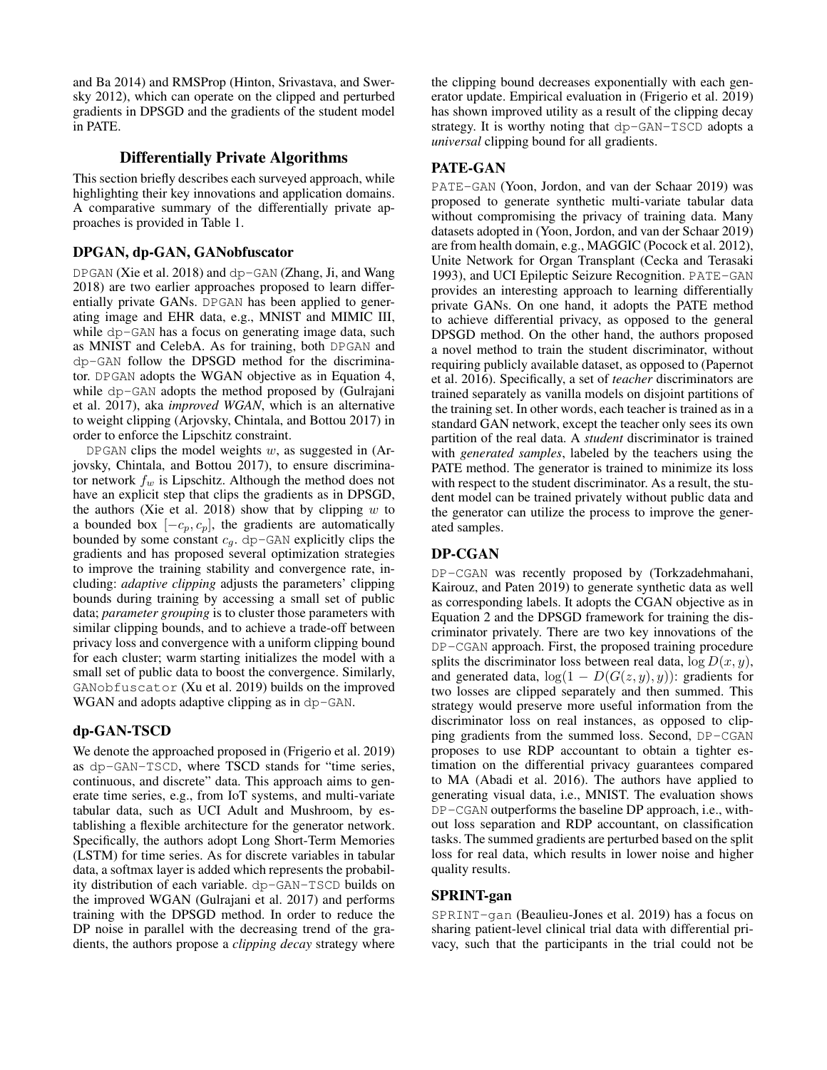and Ba 2014) and RMSProp (Hinton, Srivastava, and Swersky 2012), which can operate on the clipped and perturbed gradients in DPSGD and the gradients of the student model in PATE.

#### Differentially Private Algorithms

This section briefly describes each surveyed approach, while highlighting their key innovations and application domains. A comparative summary of the differentially private approaches is provided in Table 1.

#### DPGAN, dp-GAN, GANobfuscator

DPGAN (Xie et al. 2018) and dp-GAN (Zhang, Ji, and Wang 2018) are two earlier approaches proposed to learn differentially private GANs. DPGAN has been applied to generating image and EHR data, e.g., MNIST and MIMIC III, while dp-GAN has a focus on generating image data, such as MNIST and CelebA. As for training, both DPGAN and dp-GAN follow the DPSGD method for the discriminator. DPGAN adopts the WGAN objective as in Equation 4, while dp-GAN adopts the method proposed by (Gulrajani et al. 2017), aka *improved WGAN*, which is an alternative to weight clipping (Arjovsky, Chintala, and Bottou 2017) in order to enforce the Lipschitz constraint.

DPGAN clips the model weights  $w$ , as suggested in (Arjovsky, Chintala, and Bottou 2017), to ensure discriminator network  $f_w$  is Lipschitz. Although the method does not have an explicit step that clips the gradients as in DPSGD, the authors (Xie et al. 2018) show that by clipping  $w$  to a bounded box  $[-c_p, c_p]$ , the gradients are automatically bounded by some constant  $c_g$ . dp-GAN explicitly clips the gradients and has proposed several optimization strategies to improve the training stability and convergence rate, including: *adaptive clipping* adjusts the parameters' clipping bounds during training by accessing a small set of public data; *parameter grouping* is to cluster those parameters with similar clipping bounds, and to achieve a trade-off between privacy loss and convergence with a uniform clipping bound for each cluster; warm starting initializes the model with a small set of public data to boost the convergence. Similarly, GANobfuscator (Xu et al. 2019) builds on the improved WGAN and adopts adaptive clipping as in dp-GAN.

## dp-GAN-TSCD

We denote the approached proposed in (Frigerio et al. 2019) as dp-GAN-TSCD, where TSCD stands for "time series, continuous, and discrete" data. This approach aims to generate time series, e.g., from IoT systems, and multi-variate tabular data, such as UCI Adult and Mushroom, by establishing a flexible architecture for the generator network. Specifically, the authors adopt Long Short-Term Memories (LSTM) for time series. As for discrete variables in tabular data, a softmax layer is added which represents the probability distribution of each variable. dp-GAN-TSCD builds on the improved WGAN (Gulrajani et al. 2017) and performs training with the DPSGD method. In order to reduce the DP noise in parallel with the decreasing trend of the gradients, the authors propose a *clipping decay* strategy where

the clipping bound decreases exponentially with each generator update. Empirical evaluation in (Frigerio et al. 2019) has shown improved utility as a result of the clipping decay strategy. It is worthy noting that dp-GAN-TSCD adopts a *universal* clipping bound for all gradients.

## PATE-GAN

PATE-GAN (Yoon, Jordon, and van der Schaar 2019) was proposed to generate synthetic multi-variate tabular data without compromising the privacy of training data. Many datasets adopted in (Yoon, Jordon, and van der Schaar 2019) are from health domain, e.g., MAGGIC (Pocock et al. 2012), Unite Network for Organ Transplant (Cecka and Terasaki 1993), and UCI Epileptic Seizure Recognition. PATE-GAN provides an interesting approach to learning differentially private GANs. On one hand, it adopts the PATE method to achieve differential privacy, as opposed to the general DPSGD method. On the other hand, the authors proposed a novel method to train the student discriminator, without requiring publicly available dataset, as opposed to (Papernot et al. 2016). Specifically, a set of *teacher* discriminators are trained separately as vanilla models on disjoint partitions of the training set. In other words, each teacher is trained as in a standard GAN network, except the teacher only sees its own partition of the real data. A *student* discriminator is trained with *generated samples*, labeled by the teachers using the PATE method. The generator is trained to minimize its loss with respect to the student discriminator. As a result, the student model can be trained privately without public data and the generator can utilize the process to improve the generated samples.

## DP-CGAN

DP-CGAN was recently proposed by (Torkzadehmahani, Kairouz, and Paten 2019) to generate synthetic data as well as corresponding labels. It adopts the CGAN objective as in Equation 2 and the DPSGD framework for training the discriminator privately. There are two key innovations of the DP-CGAN approach. First, the proposed training procedure splits the discriminator loss between real data,  $\log D(x, y)$ , and generated data,  $log(1 - D(G(z, y), y))$ : gradients for two losses are clipped separately and then summed. This strategy would preserve more useful information from the discriminator loss on real instances, as opposed to clipping gradients from the summed loss. Second, DP-CGAN proposes to use RDP accountant to obtain a tighter estimation on the differential privacy guarantees compared to MA (Abadi et al. 2016). The authors have applied to generating visual data, i.e., MNIST. The evaluation shows DP-CGAN outperforms the baseline DP approach, i.e., without loss separation and RDP accountant, on classification tasks. The summed gradients are perturbed based on the split loss for real data, which results in lower noise and higher quality results.

## SPRINT-gan

SPRINT-gan (Beaulieu-Jones et al. 2019) has a focus on sharing patient-level clinical trial data with differential privacy, such that the participants in the trial could not be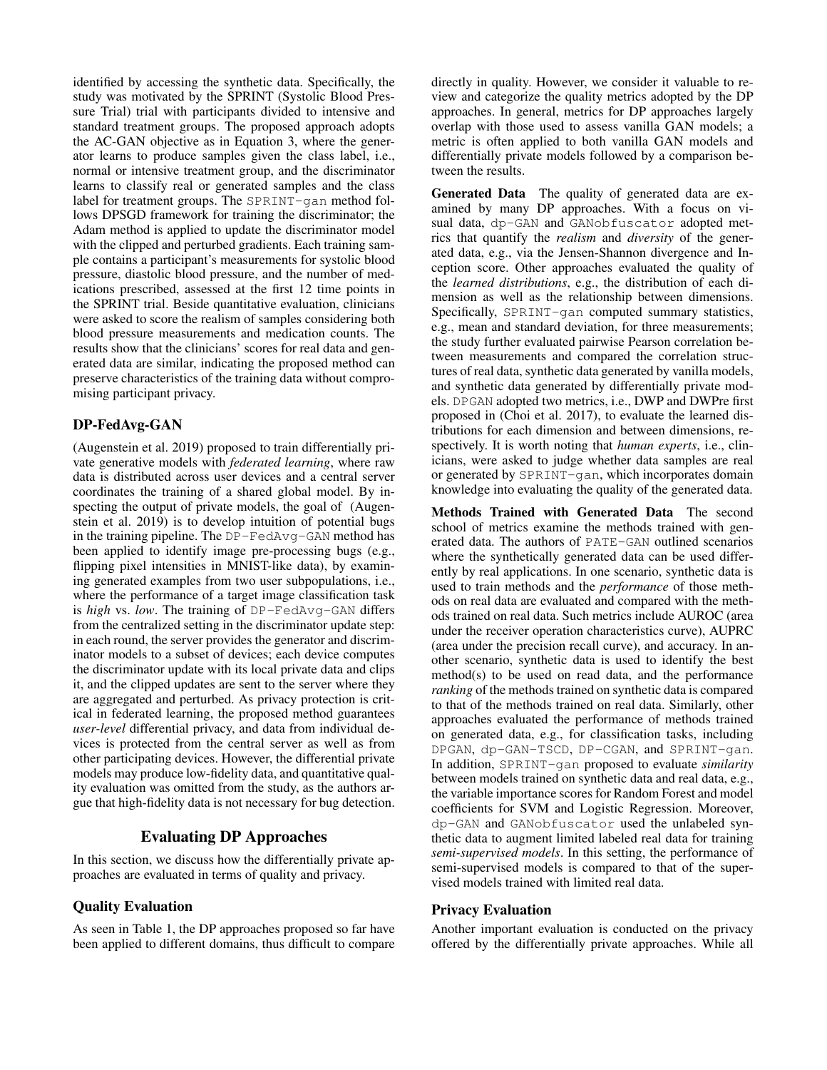identified by accessing the synthetic data. Specifically, the study was motivated by the SPRINT (Systolic Blood Pressure Trial) trial with participants divided to intensive and standard treatment groups. The proposed approach adopts the AC-GAN objective as in Equation 3, where the generator learns to produce samples given the class label, i.e., normal or intensive treatment group, and the discriminator learns to classify real or generated samples and the class label for treatment groups. The SPRINT-gan method follows DPSGD framework for training the discriminator; the Adam method is applied to update the discriminator model with the clipped and perturbed gradients. Each training sample contains a participant's measurements for systolic blood pressure, diastolic blood pressure, and the number of medications prescribed, assessed at the first 12 time points in the SPRINT trial. Beside quantitative evaluation, clinicians were asked to score the realism of samples considering both blood pressure measurements and medication counts. The results show that the clinicians' scores for real data and generated data are similar, indicating the proposed method can preserve characteristics of the training data without compromising participant privacy.

# DP-FedAvg-GAN

(Augenstein et al. 2019) proposed to train differentially private generative models with *federated learning*, where raw data is distributed across user devices and a central server coordinates the training of a shared global model. By inspecting the output of private models, the goal of (Augenstein et al. 2019) is to develop intuition of potential bugs in the training pipeline. The DP-FedAvg-GAN method has been applied to identify image pre-processing bugs (e.g., flipping pixel intensities in MNIST-like data), by examining generated examples from two user subpopulations, i.e., where the performance of a target image classification task is *high* vs. *low*. The training of DP-FedAvg-GAN differs from the centralized setting in the discriminator update step: in each round, the server provides the generator and discriminator models to a subset of devices; each device computes the discriminator update with its local private data and clips it, and the clipped updates are sent to the server where they are aggregated and perturbed. As privacy protection is critical in federated learning, the proposed method guarantees *user-level* differential privacy, and data from individual devices is protected from the central server as well as from other participating devices. However, the differential private models may produce low-fidelity data, and quantitative quality evaluation was omitted from the study, as the authors argue that high-fidelity data is not necessary for bug detection.

# Evaluating DP Approaches

In this section, we discuss how the differentially private approaches are evaluated in terms of quality and privacy.

## Quality Evaluation

As seen in Table 1, the DP approaches proposed so far have been applied to different domains, thus difficult to compare

directly in quality. However, we consider it valuable to review and categorize the quality metrics adopted by the DP approaches. In general, metrics for DP approaches largely overlap with those used to assess vanilla GAN models; a metric is often applied to both vanilla GAN models and differentially private models followed by a comparison between the results.

Generated Data The quality of generated data are examined by many DP approaches. With a focus on visual data, dp-GAN and GANobfuscator adopted metrics that quantify the *realism* and *diversity* of the generated data, e.g., via the Jensen-Shannon divergence and Inception score. Other approaches evaluated the quality of the *learned distributions*, e.g., the distribution of each dimension as well as the relationship between dimensions. Specifically, SPRINT-gan computed summary statistics, e.g., mean and standard deviation, for three measurements; the study further evaluated pairwise Pearson correlation between measurements and compared the correlation structures of real data, synthetic data generated by vanilla models, and synthetic data generated by differentially private models. DPGAN adopted two metrics, i.e., DWP and DWPre first proposed in (Choi et al. 2017), to evaluate the learned distributions for each dimension and between dimensions, respectively. It is worth noting that *human experts*, i.e., clinicians, were asked to judge whether data samples are real or generated by SPRINT-gan, which incorporates domain knowledge into evaluating the quality of the generated data.

Methods Trained with Generated Data The second school of metrics examine the methods trained with generated data. The authors of PATE-GAN outlined scenarios where the synthetically generated data can be used differently by real applications. In one scenario, synthetic data is used to train methods and the *performance* of those methods on real data are evaluated and compared with the methods trained on real data. Such metrics include AUROC (area under the receiver operation characteristics curve), AUPRC (area under the precision recall curve), and accuracy. In another scenario, synthetic data is used to identify the best method(s) to be used on read data, and the performance *ranking* of the methods trained on synthetic data is compared to that of the methods trained on real data. Similarly, other approaches evaluated the performance of methods trained on generated data, e.g., for classification tasks, including DPGAN, dp-GAN-TSCD, DP-CGAN, and SPRINT-gan. In addition, SPRINT-gan proposed to evaluate *similarity* between models trained on synthetic data and real data, e.g., the variable importance scores for Random Forest and model coefficients for SVM and Logistic Regression. Moreover, dp-GAN and GANobfuscator used the unlabeled synthetic data to augment limited labeled real data for training *semi-supervised models*. In this setting, the performance of semi-supervised models is compared to that of the supervised models trained with limited real data.

#### Privacy Evaluation

Another important evaluation is conducted on the privacy offered by the differentially private approaches. While all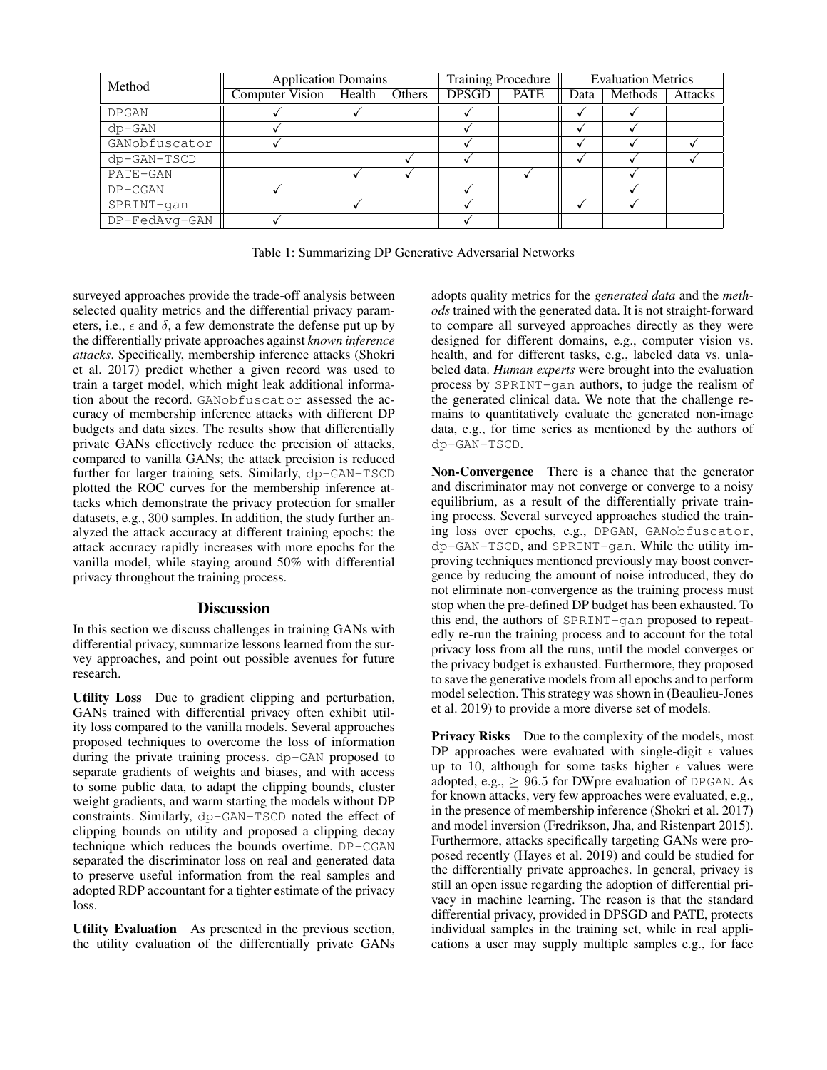| Method        | <b>Application Domains</b>        |  |  | <b>Training Procedure</b> |             | <b>Evaluation Metrics</b> |         |         |
|---------------|-----------------------------------|--|--|---------------------------|-------------|---------------------------|---------|---------|
|               | Computer Vision   Health   Others |  |  | <b>DPSGD</b>              | <b>PATE</b> | Data                      | Methods | Attacks |
| <b>DPGAN</b>  |                                   |  |  |                           |             |                           |         |         |
| $dp - GAN$    |                                   |  |  |                           |             |                           |         |         |
| GANobfuscator |                                   |  |  |                           |             |                           |         |         |
| dp-GAN-TSCD   |                                   |  |  |                           |             |                           |         |         |
| PATE-GAN      |                                   |  |  |                           |             |                           |         |         |
| $DP - CGAN$   |                                   |  |  |                           |             |                           |         |         |
| SPRINT-gan    |                                   |  |  |                           |             |                           |         |         |
| DP-FedAvg-GAN |                                   |  |  |                           |             |                           |         |         |

Table 1: Summarizing DP Generative Adversarial Networks

surveyed approaches provide the trade-off analysis between selected quality metrics and the differential privacy parameters, i.e.,  $\epsilon$  and  $\delta$ , a few demonstrate the defense put up by the differentially private approaches against *known inference attacks*. Specifically, membership inference attacks (Shokri et al. 2017) predict whether a given record was used to train a target model, which might leak additional information about the record. GANobfuscator assessed the accuracy of membership inference attacks with different DP budgets and data sizes. The results show that differentially private GANs effectively reduce the precision of attacks, compared to vanilla GANs; the attack precision is reduced further for larger training sets. Similarly, dp-GAN-TSCD plotted the ROC curves for the membership inference attacks which demonstrate the privacy protection for smaller datasets, e.g., 300 samples. In addition, the study further analyzed the attack accuracy at different training epochs: the attack accuracy rapidly increases with more epochs for the vanilla model, while staying around 50% with differential privacy throughout the training process.

## Discussion

In this section we discuss challenges in training GANs with differential privacy, summarize lessons learned from the survey approaches, and point out possible avenues for future research.

Utility Loss Due to gradient clipping and perturbation, GANs trained with differential privacy often exhibit utility loss compared to the vanilla models. Several approaches proposed techniques to overcome the loss of information during the private training process. dp-GAN proposed to separate gradients of weights and biases, and with access to some public data, to adapt the clipping bounds, cluster weight gradients, and warm starting the models without DP constraints. Similarly, dp-GAN-TSCD noted the effect of clipping bounds on utility and proposed a clipping decay technique which reduces the bounds overtime. DP-CGAN separated the discriminator loss on real and generated data to preserve useful information from the real samples and adopted RDP accountant for a tighter estimate of the privacy loss.

Utility Evaluation As presented in the previous section, the utility evaluation of the differentially private GANs adopts quality metrics for the *generated data* and the *methods* trained with the generated data. It is not straight-forward to compare all surveyed approaches directly as they were designed for different domains, e.g., computer vision vs. health, and for different tasks, e.g., labeled data vs. unlabeled data. *Human experts* were brought into the evaluation process by SPRINT-gan authors, to judge the realism of the generated clinical data. We note that the challenge remains to quantitatively evaluate the generated non-image data, e.g., for time series as mentioned by the authors of dp-GAN-TSCD.

Non-Convergence There is a chance that the generator and discriminator may not converge or converge to a noisy equilibrium, as a result of the differentially private training process. Several surveyed approaches studied the training loss over epochs, e.g., DPGAN, GANobfuscator, dp-GAN-TSCD, and SPRINT-gan. While the utility improving techniques mentioned previously may boost convergence by reducing the amount of noise introduced, they do not eliminate non-convergence as the training process must stop when the pre-defined DP budget has been exhausted. To this end, the authors of SPRINT-gan proposed to repeatedly re-run the training process and to account for the total privacy loss from all the runs, until the model converges or the privacy budget is exhausted. Furthermore, they proposed to save the generative models from all epochs and to perform model selection. This strategy was shown in (Beaulieu-Jones et al. 2019) to provide a more diverse set of models.

Privacy Risks Due to the complexity of the models, most DP approaches were evaluated with single-digit  $\epsilon$  values up to 10, although for some tasks higher  $\epsilon$  values were adopted, e.g.,  $\geq$  96.5 for DWpre evaluation of DPGAN. As for known attacks, very few approaches were evaluated, e.g., in the presence of membership inference (Shokri et al. 2017) and model inversion (Fredrikson, Jha, and Ristenpart 2015). Furthermore, attacks specifically targeting GANs were proposed recently (Hayes et al. 2019) and could be studied for the differentially private approaches. In general, privacy is still an open issue regarding the adoption of differential privacy in machine learning. The reason is that the standard differential privacy, provided in DPSGD and PATE, protects individual samples in the training set, while in real applications a user may supply multiple samples e.g., for face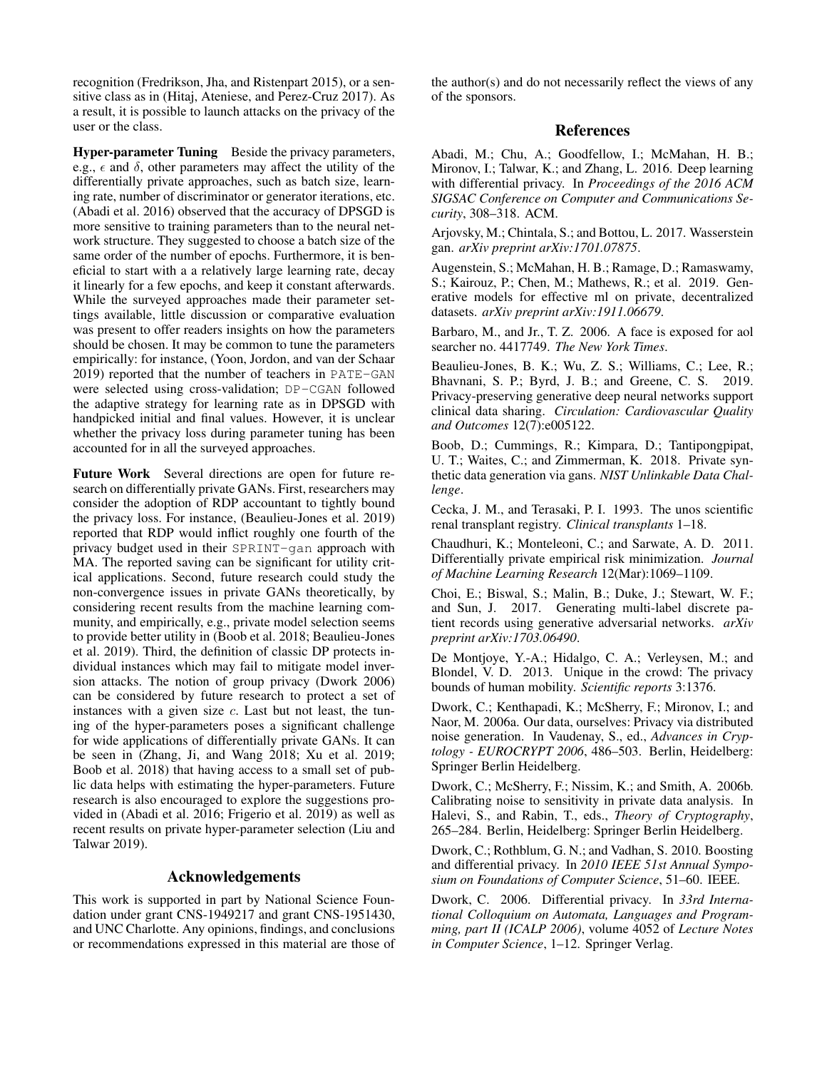recognition (Fredrikson, Jha, and Ristenpart 2015), or a sensitive class as in (Hitaj, Ateniese, and Perez-Cruz 2017). As a result, it is possible to launch attacks on the privacy of the user or the class.

Hyper-parameter Tuning Beside the privacy parameters, e.g.,  $\epsilon$  and  $\delta$ , other parameters may affect the utility of the differentially private approaches, such as batch size, learning rate, number of discriminator or generator iterations, etc. (Abadi et al. 2016) observed that the accuracy of DPSGD is more sensitive to training parameters than to the neural network structure. They suggested to choose a batch size of the same order of the number of epochs. Furthermore, it is beneficial to start with a a relatively large learning rate, decay it linearly for a few epochs, and keep it constant afterwards. While the surveyed approaches made their parameter settings available, little discussion or comparative evaluation was present to offer readers insights on how the parameters should be chosen. It may be common to tune the parameters empirically: for instance, (Yoon, Jordon, and van der Schaar 2019) reported that the number of teachers in PATE-GAN were selected using cross-validation; DP-CGAN followed the adaptive strategy for learning rate as in DPSGD with handpicked initial and final values. However, it is unclear whether the privacy loss during parameter tuning has been accounted for in all the surveyed approaches.

Future Work Several directions are open for future research on differentially private GANs. First, researchers may consider the adoption of RDP accountant to tightly bound the privacy loss. For instance, (Beaulieu-Jones et al. 2019) reported that RDP would inflict roughly one fourth of the privacy budget used in their SPRINT-gan approach with MA. The reported saving can be significant for utility critical applications. Second, future research could study the non-convergence issues in private GANs theoretically, by considering recent results from the machine learning community, and empirically, e.g., private model selection seems to provide better utility in (Boob et al. 2018; Beaulieu-Jones et al. 2019). Third, the definition of classic DP protects individual instances which may fail to mitigate model inversion attacks. The notion of group privacy (Dwork 2006) can be considered by future research to protect a set of instances with a given size  $c$ . Last but not least, the tuning of the hyper-parameters poses a significant challenge for wide applications of differentially private GANs. It can be seen in (Zhang, Ji, and Wang 2018; Xu et al. 2019; Boob et al. 2018) that having access to a small set of public data helps with estimating the hyper-parameters. Future research is also encouraged to explore the suggestions provided in (Abadi et al. 2016; Frigerio et al. 2019) as well as recent results on private hyper-parameter selection (Liu and Talwar 2019).

## Acknowledgements

This work is supported in part by National Science Foundation under grant CNS-1949217 and grant CNS-1951430, and UNC Charlotte. Any opinions, findings, and conclusions or recommendations expressed in this material are those of

the author(s) and do not necessarily reflect the views of any of the sponsors.

## References

Abadi, M.; Chu, A.; Goodfellow, I.; McMahan, H. B.; Mironov, I.; Talwar, K.; and Zhang, L. 2016. Deep learning with differential privacy. In *Proceedings of the 2016 ACM SIGSAC Conference on Computer and Communications Security*, 308–318. ACM.

Arjovsky, M.; Chintala, S.; and Bottou, L. 2017. Wasserstein gan. *arXiv preprint arXiv:1701.07875*.

Augenstein, S.; McMahan, H. B.; Ramage, D.; Ramaswamy, S.; Kairouz, P.; Chen, M.; Mathews, R.; et al. 2019. Generative models for effective ml on private, decentralized datasets. *arXiv preprint arXiv:1911.06679*.

Barbaro, M., and Jr., T. Z. 2006. A face is exposed for aol searcher no. 4417749. *The New York Times*.

Beaulieu-Jones, B. K.; Wu, Z. S.; Williams, C.; Lee, R.; Bhavnani, S. P.; Byrd, J. B.; and Greene, C. S. 2019. Privacy-preserving generative deep neural networks support clinical data sharing. *Circulation: Cardiovascular Quality and Outcomes* 12(7):e005122.

Boob, D.; Cummings, R.; Kimpara, D.; Tantipongpipat, U. T.; Waites, C.; and Zimmerman, K. 2018. Private synthetic data generation via gans. *NIST Unlinkable Data Challenge*.

Cecka, J. M., and Terasaki, P. I. 1993. The unos scientific renal transplant registry. *Clinical transplants* 1–18.

Chaudhuri, K.; Monteleoni, C.; and Sarwate, A. D. 2011. Differentially private empirical risk minimization. *Journal of Machine Learning Research* 12(Mar):1069–1109.

Choi, E.; Biswal, S.; Malin, B.; Duke, J.; Stewart, W. F.; and Sun, J. 2017. Generating multi-label discrete patient records using generative adversarial networks. *arXiv preprint arXiv:1703.06490*.

De Montjoye, Y.-A.; Hidalgo, C. A.; Verleysen, M.; and Blondel, V. D. 2013. Unique in the crowd: The privacy bounds of human mobility. *Scientific reports* 3:1376.

Dwork, C.; Kenthapadi, K.; McSherry, F.; Mironov, I.; and Naor, M. 2006a. Our data, ourselves: Privacy via distributed noise generation. In Vaudenay, S., ed., *Advances in Cryptology - EUROCRYPT 2006*, 486–503. Berlin, Heidelberg: Springer Berlin Heidelberg.

Dwork, C.; McSherry, F.; Nissim, K.; and Smith, A. 2006b. Calibrating noise to sensitivity in private data analysis. In Halevi, S., and Rabin, T., eds., *Theory of Cryptography*, 265–284. Berlin, Heidelberg: Springer Berlin Heidelberg.

Dwork, C.; Rothblum, G. N.; and Vadhan, S. 2010. Boosting and differential privacy. In *2010 IEEE 51st Annual Symposium on Foundations of Computer Science*, 51–60. IEEE.

Dwork, C. 2006. Differential privacy. In *33rd International Colloquium on Automata, Languages and Programming, part II (ICALP 2006)*, volume 4052 of *Lecture Notes in Computer Science*, 1–12. Springer Verlag.